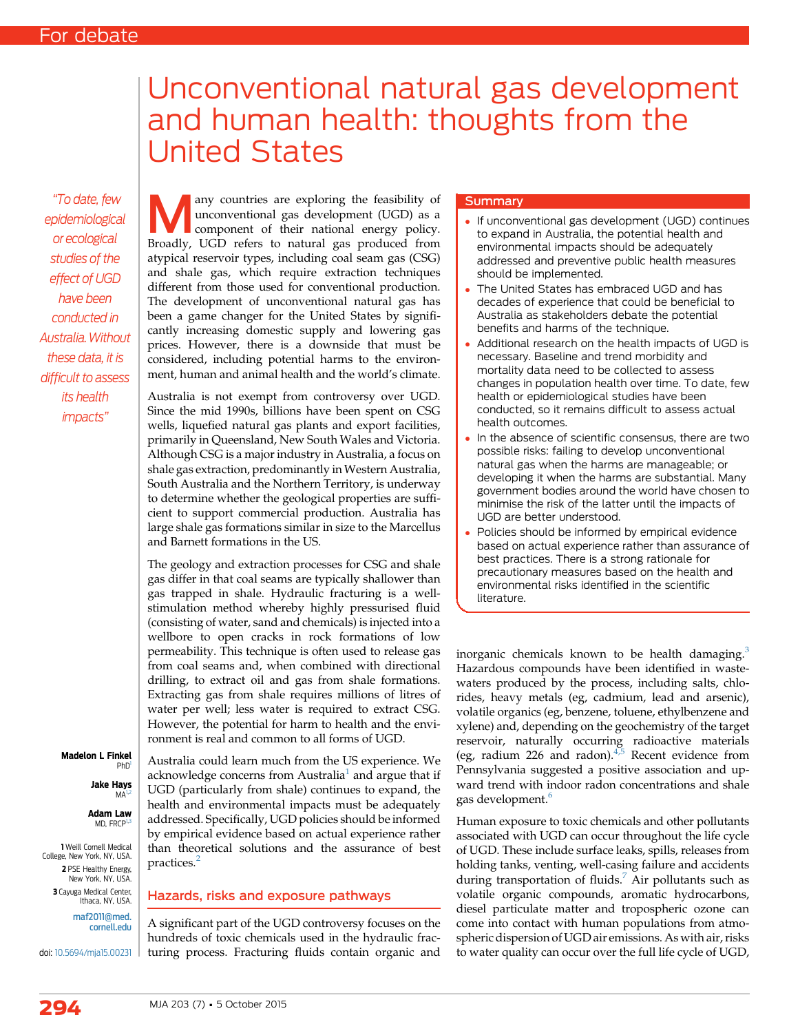# Unconventional natural gas development and human health: thoughts from the United States

"To date, few epidemiological or ecological studies of the effect of UGD have been conducted in Australia.Without these data, it is difficult to assess its health impacts"

> Madelon L Finkel PhD1

> > Jake Hays  $MA<sup>1,2</sup>$

Adam Law MD, FRCP

1 Weill Cornell Medical College, New York, NY, USA. 2 PSE Healthy Energy, New York, NY, USA. 3 Cayuga Medical Center, Ithaca, NY, USA.

> [maf2011@med.](mailto:maf2011@med.cornell.edu) [cornell.edu](mailto:maf2011@med.cornell.edu)

doi: [10.5694/mja15.00231](http://dx.doi.org/10.5694/mja15.00231)

Many countries are exploring the feasibility of<br>component of their national energy policy.<br>Procedurational energy policy. unconventional gas development (UGD) as a component of their national energy policy. Broadly, UGD refers to natural gas produced from atypical reservoir types, including coal seam gas (CSG) and shale gas, which require extraction techniques different from those used for conventional production. The development of unconventional natural gas has been a game changer for the United States by significantly increasing domestic supply and lowering gas prices. However, there is a downside that must be considered, including potential harms to the environment, human and animal health and the world's climate.

Australia is not exempt from controversy over UGD. Since the mid 1990s, billions have been spent on CSG wells, liquefied natural gas plants and export facilities, primarily in Queensland, New South Wales and Victoria. Although CSG is a major industry in Australia, a focus on shale gas extraction, predominantly in Western Australia, South Australia and the Northern Territory, is underway to determine whether the geological properties are sufficient to support commercial production. Australia has large shale gas formations similar in size to the Marcellus and Barnett formations in the US.

The geology and extraction processes for CSG and shale gas differ in that coal seams are typically shallower than gas trapped in shale. Hydraulic fracturing is a wellstimulation method whereby highly pressurised fluid (consisting of water, sand and chemicals) is injected into a wellbore to open cracks in rock formations of low permeability. This technique is often used to release gas from coal seams and, when combined with directional drilling, to extract oil and gas from shale formations. Extracting gas from shale requires millions of litres of water per well; less water is required to extract CSG. However, the potential for harm to health and the environment is real and common to all forms of UGD.

Australia could learn much from the US experience. We acknowledge concerns from Australia<sup>[1](#page-3-0)</sup> and argue that if UGD (particularly from shale) continues to expand, the health and environmental impacts must be adequately addressed. Specifically, UGD policies should be informed by empirical evidence based on actual experience rather than theoretical solutions and the assurance of best practices.[2](#page-3-0)

#### Hazards, risks and exposure pathways

A significant part of the UGD controversy focuses on the hundreds of toxic chemicals used in the hydraulic fracturing process. Fracturing fluids contain organic and

#### Summary

- If unconventional gas development (UGD) continues to expand in Australia, the potential health and environmental impacts should be adequately addressed and preventive public health measures should be implemented.
- The United States has embraced UGD and has decades of experience that could be beneficial to Australia as stakeholders debate the potential benefits and harms of the technique.
- Additional research on the health impacts of UGD is necessary. Baseline and trend morbidity and mortality data need to be collected to assess changes in population health over time. To date, few health or epidemiological studies have been conducted, so it remains difficult to assess actual health outcomes.
- In the absence of scientific consensus, there are two possible risks: failing to develop unconventional natural gas when the harms are manageable; or developing it when the harms are substantial. Many government bodies around the world have chosen to minimise the risk of the latter until the impacts of UGD are better understood.
- Policies should be informed by empirical evidence based on actual experience rather than assurance of best practices. There is a strong rationale for precautionary measures based on the health and environmental risks identified in the scientific literature.

inorganic chemicals known to be health damaging.<sup>3</sup> Hazardous compounds have been identified in wastewaters produced by the process, including salts, chlorides, heavy metals (eg, cadmium, lead and arsenic), volatile organics (eg, benzene, toluene, ethylbenzene and xylene) and, depending on the geochemistry of the target reservoir, naturally occurring radioactive materials (eg, radium 226 and radon). $4\frac{1}{2}$  Recent evidence from Pennsylvania suggested a positive association and upward trend with indoor radon concentrations and shale gas development.<sup>[6](#page-3-0)</sup>

Human exposure to toxic chemicals and other pollutants associated with UGD can occur throughout the life cycle of UGD. These include surface leaks, spills, releases from holding tanks, venting, well-casing failure and accidents during transportation of fluids.<sup>[7](#page-3-0)</sup> Air pollutants such as volatile organic compounds, aromatic hydrocarbons, diesel particulate matter and tropospheric ozone can come into contact with human populations from atmospheric dispersion of UGD air emissions. As with air, risks to water quality can occur over the full life cycle of UGD,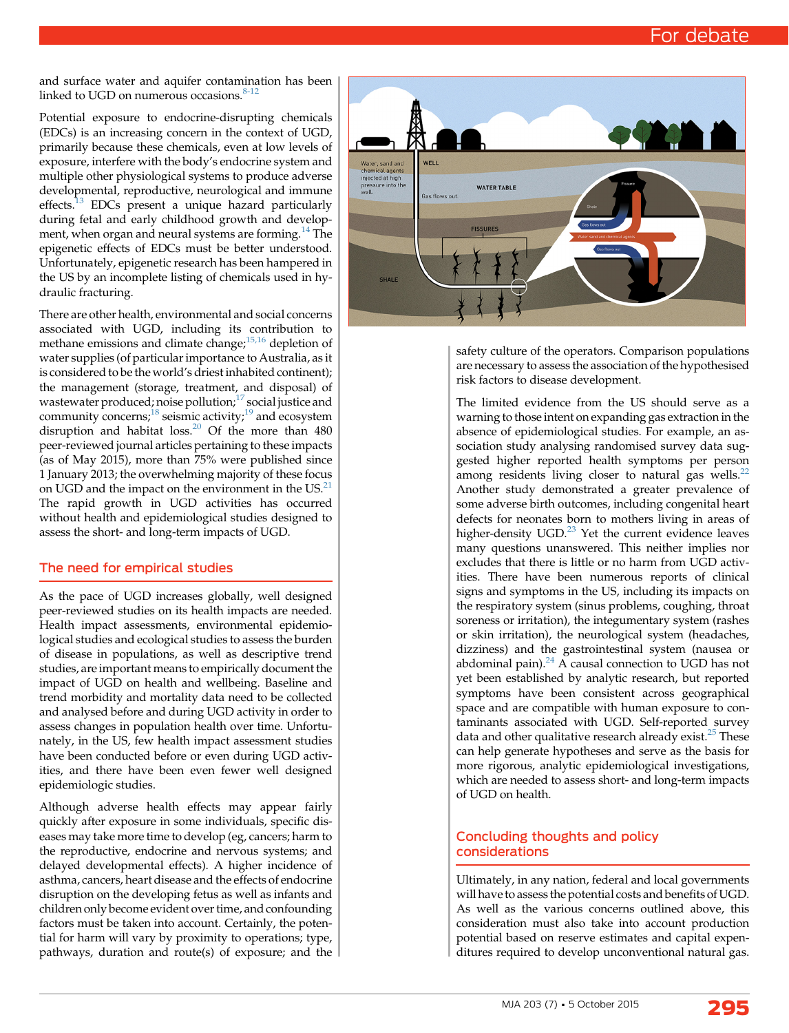and surface water and aquifer contamination has been linked to UGD on numerous occasions. $8-12$ 

Potential exposure to endocrine-disrupting chemicals (EDCs) is an increasing concern in the context of UGD, primarily because these chemicals, even at low levels of exposure, interfere with the body's endocrine system and multiple other physiological systems to produce adverse developmental, reproductive, neurological and immune effects.<sup>[13](#page-3-0)</sup> EDCs present a unique hazard particularly during fetal and early childhood growth and develop-ment, when organ and neural systems are forming.<sup>[14](#page-3-0)</sup> The epigenetic effects of EDCs must be better understood. Unfortunately, epigenetic research has been hampered in the US by an incomplete listing of chemicals used in hydraulic fracturing.

There are other health, environmental and social concerns associated with UGD, including its contribution to methane emissions and climate change; $15,16$  depletion of water supplies (of particular importance to Australia, as it is considered to be the world's driest inhabited continent); the management (storage, treatment, and disposal) of wastewater produced; noise pollution;<sup>[17](#page-3-0)</sup> social justice and community concerns; $^{18}$  $^{18}$  $^{18}$  seismic activity; $^{19}$  $^{19}$  $^{19}$  and ecosystem disruption and habitat loss.<sup>20</sup> Of the more than 480 peer-reviewed journal articles pertaining to these impacts (as of May 2015), more than 75% were published since 1 January 2013; the overwhelming majority of these focus on UGD and the impact on the environment in the US.<sup>[21](#page-3-0)</sup> The rapid growth in UGD activities has occurred without health and epidemiological studies designed to assess the short- and long-term impacts of UGD.

### The need for empirical studies

As the pace of UGD increases globally, well designed peer-reviewed studies on its health impacts are needed. Health impact assessments, environmental epidemiological studies and ecological studies to assess the burden of disease in populations, as well as descriptive trend studies, are important means to empirically document the impact of UGD on health and wellbeing. Baseline and trend morbidity and mortality data need to be collected and analysed before and during UGD activity in order to assess changes in population health over time. Unfortunately, in the US, few health impact assessment studies have been conducted before or even during UGD activities, and there have been even fewer well designed epidemiologic studies.

Although adverse health effects may appear fairly quickly after exposure in some individuals, specific diseases may take more time to develop (eg, cancers; harm to the reproductive, endocrine and nervous systems; and delayed developmental effects). A higher incidence of asthma, cancers, heart disease and the effects of endocrine disruption on the developing fetus as well as infants and children only become evident over time, and confounding factors must be taken into account. Certainly, the potential for harm will vary by proximity to operations; type, pathways, duration and route(s) of exposure; and the



safety culture of the operators. Comparison populations are necessary to assess the association of the hypothesised risk factors to disease development.

The limited evidence from the US should serve as a warning to those intent on expanding gas extraction in the absence of epidemiological studies. For example, an association study analysing randomised survey data suggested higher reported health symptoms per person among residents living closer to natural gas wells.<sup>[22](#page-3-0)</sup> Another study demonstrated a greater prevalence of some adverse birth outcomes, including congenital heart defects for neonates born to mothers living in areas of higher-density UGD.<sup>[23](#page-3-0)</sup> Yet the current evidence leaves many questions unanswered. This neither implies nor excludes that there is little or no harm from UGD activities. There have been numerous reports of clinical signs and symptoms in the US, including its impacts on the respiratory system (sinus problems, coughing, throat soreness or irritation), the integumentary system (rashes or skin irritation), the neurological system (headaches, dizziness) and the gastrointestinal system (nausea or abdominal pain). $^{24}$  $^{24}$  $^{24}$  A causal connection to UGD has not yet been established by analytic research, but reported symptoms have been consistent across geographical space and are compatible with human exposure to contaminants associated with UGD. Self-reported survey data and other qualitative research already exist.<sup>[25](#page-3-0)</sup> These can help generate hypotheses and serve as the basis for more rigorous, analytic epidemiological investigations, which are needed to assess short- and long-term impacts of UGD on health.

## Concluding thoughts and policy considerations

Ultimately, in any nation, federal and local governments will have to assess the potential costs and benefits of UGD. As well as the various concerns outlined above, this consideration must also take into account production potential based on reserve estimates and capital expenditures required to develop unconventional natural gas.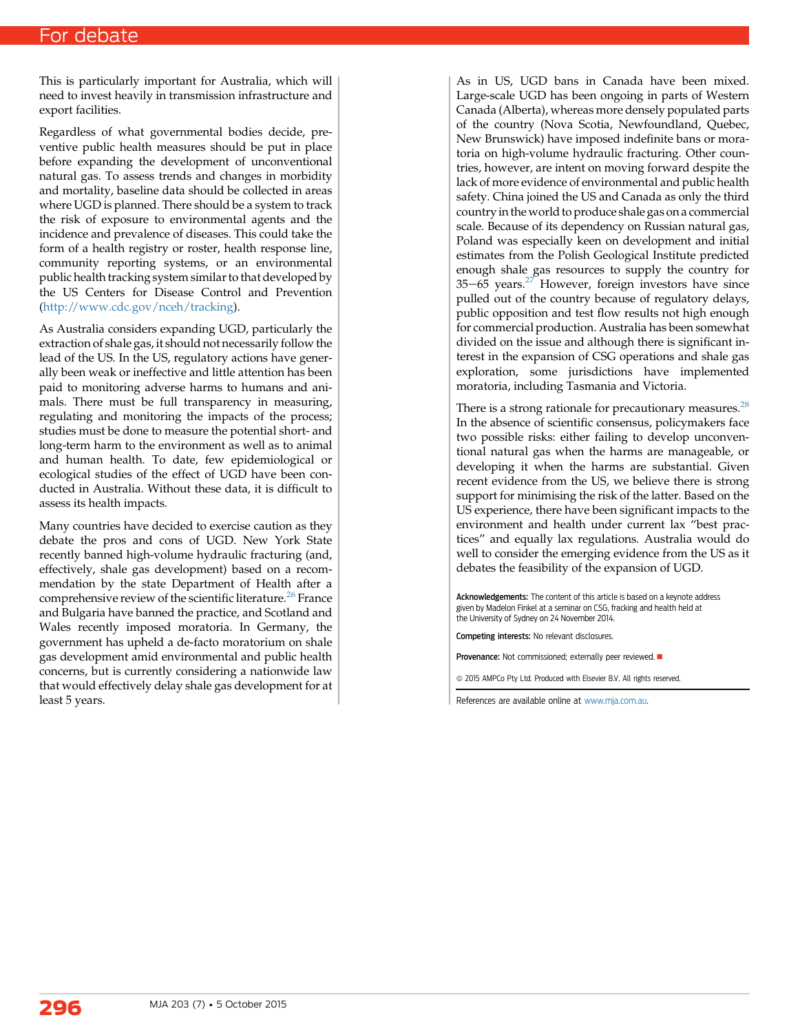This is particularly important for Australia, which will need to invest heavily in transmission infrastructure and export facilities.

Regardless of what governmental bodies decide, preventive public health measures should be put in place before expanding the development of unconventional natural gas. To assess trends and changes in morbidity and mortality, baseline data should be collected in areas where UGD is planned. There should be a system to track the risk of exposure to environmental agents and the incidence and prevalence of diseases. This could take the form of a health registry or roster, health response line, community reporting systems, or an environmental public health tracking system similar to that developed by the US Centers for Disease Control and Prevention (<http://www.cdc.gov/nceh/tracking>).

As Australia considers expanding UGD, particularly the extraction of shale gas, it should not necessarily follow the lead of the US. In the US, regulatory actions have generally been weak or ineffective and little attention has been paid to monitoring adverse harms to humans and animals. There must be full transparency in measuring, regulating and monitoring the impacts of the process; studies must be done to measure the potential short- and long-term harm to the environment as well as to animal and human health. To date, few epidemiological or ecological studies of the effect of UGD have been conducted in Australia. Without these data, it is difficult to assess its health impacts.

Many countries have decided to exercise caution as they debate the pros and cons of UGD. New York State recently banned high-volume hydraulic fracturing (and, effectively, shale gas development) based on a recommendation by the state Department of Health after a comprehensive review of the scientific literature.<sup>[26](#page-3-0)</sup> France and Bulgaria have banned the practice, and Scotland and Wales recently imposed moratoria. In Germany, the government has upheld a de-facto moratorium on shale gas development amid environmental and public health concerns, but is currently considering a nationwide law that would effectively delay shale gas development for at least 5 years.

As in US, UGD bans in Canada have been mixed. Large-scale UGD has been ongoing in parts of Western Canada (Alberta), whereas more densely populated parts of the country (Nova Scotia, Newfoundland, Quebec, New Brunswick) have imposed indefinite bans or moratoria on high-volume hydraulic fracturing. Other countries, however, are intent on moving forward despite the lack of more evidence of environmental and public health safety. China joined the US and Canada as only the third country in the world to produce shale gas on a commercial scale. Because of its dependency on Russian natural gas, Poland was especially keen on development and initial estimates from the Polish Geological Institute predicted enough shale gas resources to supply the country for  $35-65$  years.<sup>[27](#page-3-0)</sup> However, foreign investors have since pulled out of the country because of regulatory delays, public opposition and test flow results not high enough for commercial production. Australia has been somewhat divided on the issue and although there is significant interest in the expansion of CSG operations and shale gas exploration, some jurisdictions have implemented moratoria, including Tasmania and Victoria.

There is a strong rationale for precautionary measures.<sup>[28](#page-3-0)</sup> In the absence of scientific consensus, policymakers face two possible risks: either failing to develop unconventional natural gas when the harms are manageable, or developing it when the harms are substantial. Given recent evidence from the US, we believe there is strong support for minimising the risk of the latter. Based on the US experience, there have been significant impacts to the environment and health under current lax "best practices" and equally lax regulations. Australia would do well to consider the emerging evidence from the US as it debates the feasibility of the expansion of UGD.

Acknowledgements: The content of this article is based on a keynote address given by Madelon Finkel at a seminar on CSG, fracking and health held at the University of Sydney on 24 November 2014.

Competing interests: No relevant disclosures.

Provenance: Not commissioned; externally peer reviewed.

 $\odot$  2015 AMPCo Pty Ltd. Produced with Elsevier B.V. All rights reserved.

References are available online at [www.mja.com.au](http://www.mja.com.au).